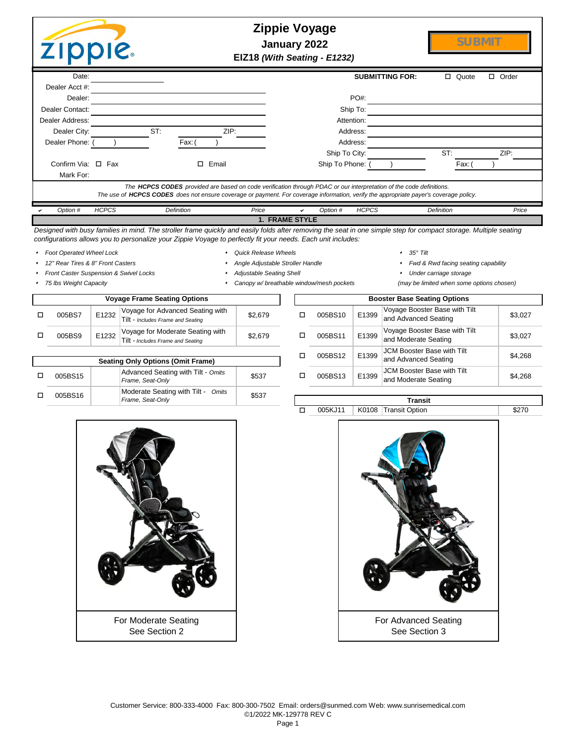|                            |                                |                                                                                        | $\Box$ Quote                | □<br>Order                                                                                                                                                                                                                                                                                                                                                                                                        |
|----------------------------|--------------------------------|----------------------------------------------------------------------------------------|-----------------------------|-------------------------------------------------------------------------------------------------------------------------------------------------------------------------------------------------------------------------------------------------------------------------------------------------------------------------------------------------------------------------------------------------------------------|
|                            |                                |                                                                                        |                             |                                                                                                                                                                                                                                                                                                                                                                                                                   |
|                            | PO#:                           |                                                                                        |                             |                                                                                                                                                                                                                                                                                                                                                                                                                   |
|                            | Ship To:                       |                                                                                        |                             |                                                                                                                                                                                                                                                                                                                                                                                                                   |
|                            | Attention:                     |                                                                                        |                             |                                                                                                                                                                                                                                                                                                                                                                                                                   |
| ZIP:                       | Address:                       |                                                                                        |                             |                                                                                                                                                                                                                                                                                                                                                                                                                   |
| Fax: (                     | Address:                       |                                                                                        |                             |                                                                                                                                                                                                                                                                                                                                                                                                                   |
|                            | Ship To City:                  |                                                                                        | ST:                         | ZIP:                                                                                                                                                                                                                                                                                                                                                                                                              |
| Email                      | Ship To Phone:                 |                                                                                        | Fax: (                      |                                                                                                                                                                                                                                                                                                                                                                                                                   |
|                            |                                |                                                                                        |                             |                                                                                                                                                                                                                                                                                                                                                                                                                   |
|                            |                                |                                                                                        |                             |                                                                                                                                                                                                                                                                                                                                                                                                                   |
| <b>Definition</b><br>Price | <b>HCPCS</b><br>Option #<br>✓  |                                                                                        |                             | Price                                                                                                                                                                                                                                                                                                                                                                                                             |
|                            |                                |                                                                                        |                             |                                                                                                                                                                                                                                                                                                                                                                                                                   |
|                            | . . <i>.</i> <del>.</del><br>. | <b>Zippie Voyage</b><br>January 2022<br>EIZ18 (With Seating - E1232)<br>1. FRAME STYLE | <b>SUBMITTING FOR:</b><br>. | SUBMIT<br>The HCPCS CODES provided are based on code verification through PDAC or our interpretation of the code definitions.<br>The use of HCPCS CODES does not ensure coverage or payment. For coverage information, verify the appropriate payer's coverage policy.<br><b>Definition</b><br>$\mathbf{a}$ and $\mathbf{a}$ and $\mathbf{a}$ and $\mathbf{a}$ and $\mathbf{a}$ and $\mathbf{a}$ and $\mathbf{a}$ |

*Designed with busy families in mind. The stroller frame quickly and easily folds after removing the seat in one simple step for compact storage. Multiple seating configurations allows you to personalize your Zippie Voyage to perfectly fit your needs. Each unit includes:*

- <sup>s</sup>*Foot Operated Wheel Lock* <sup>s</sup>*Quick Release Wheels* <sup>s</sup>*35° Tilt*
- -
	- Front Caster Suspension & Swivel Locks **state of the seating Shell** seating Shell storage storage storage storage
		-
- 

o

- 
- <sup>s</sup>*12" Rear Tires & 8" Front Casters* <sup>s</sup>*Angle Adjustable Stroller Handle* <sup>s</sup>*Fwd & Rwd facing seating capability*
	-
- <sup>s</sup>*75 lbs Weight Capacity* <sup>s</sup>*Canopy w/ breathable window/mesh pockets (may be limited when some options chosen)*

| <b>Voyage Frame Seating Options</b> |       |                                                                       |         |  |  |  |  |  |  |  |
|-------------------------------------|-------|-----------------------------------------------------------------------|---------|--|--|--|--|--|--|--|
| 005BS7                              | E1232 | Voyage for Advanced Seating with<br>Tilt - Includes Frame and Seating | \$2,679 |  |  |  |  |  |  |  |
| 005BS9                              | E1232 | Voyage for Moderate Seating with<br>Tilt - Includes Frame and Seating | \$2.679 |  |  |  |  |  |  |  |
|                                     |       | <b>Conting Only Options (Omit Frame)</b>                              |         |  |  |  |  |  |  |  |

|         | <b>Seating Only Options (Omit Frame)</b>               | <u>UUJUJU LA</u> | ∟⊥ບອອ   | and Advanced |                                        |
|---------|--------------------------------------------------------|------------------|---------|--------------|----------------------------------------|
| 005BS15 | Advanced Seating with Tilt - Omits<br>Frame, Seat-Only | \$537            | 005BS13 | E1399        | <b>JCM Booster B</b><br>and Moderate 9 |
| 005BS16 | Moderate Seating with Tilt - Omits<br>Frame. Seat-Only | \$537            |         |              | Transit                                |
|         |                                                        |                  |         | 11222222     | $\sim$ $\sim$ $\sim$                   |

|             |  |         |       | <b>Booster Base Seating Options</b>                       |         |
|-------------|--|---------|-------|-----------------------------------------------------------|---------|
| \$2,679     |  | 005BS10 | E1399 | Voyage Booster Base with Tilt<br>and Advanced Seating     | \$3,027 |
| \$2.679     |  | 005BS11 | E1399 | Voyage Booster Base with Tilt<br>and Moderate Seating     | \$3,027 |
|             |  | 005BS12 | E1399 | <b>JCM Booster Base with Tilt</b><br>and Advanced Seating | \$4,268 |
| \$537       |  | 005BS13 | E1399 | <b>JCM Booster Base with Tilt</b><br>and Moderate Seating | \$4.268 |
| <b>CE37</b> |  |         |       |                                                           |         |





Page 1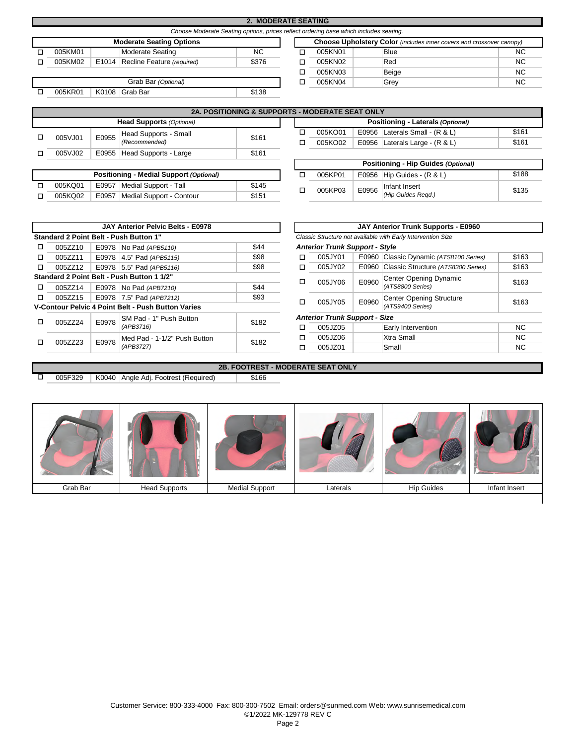|                                                                                       |  |                                  | <b>2. MODERATE SEATING</b> |                                                                      |         |             |           |  |  |  |  |
|---------------------------------------------------------------------------------------|--|----------------------------------|----------------------------|----------------------------------------------------------------------|---------|-------------|-----------|--|--|--|--|
| Choose Moderate Seating options, prices reflect ordering base which includes seating. |  |                                  |                            |                                                                      |         |             |           |  |  |  |  |
|                                                                                       |  | <b>Moderate Seating Options</b>  |                            | Choose Upholstery Color (includes inner covers and crossover canopy) |         |             |           |  |  |  |  |
| 005KM01                                                                               |  | Moderate Seating                 | <b>NC</b>                  |                                                                      | 005KN01 | <b>Blue</b> | <b>NC</b> |  |  |  |  |
| 005KM02                                                                               |  | E1014 Recline Feature (required) | \$376                      |                                                                      | 005KN02 | Red         | <b>NC</b> |  |  |  |  |
|                                                                                       |  |                                  |                            |                                                                      | 005KN03 | Beige       | <b>NC</b> |  |  |  |  |
|                                                                                       |  | Grab Bar (Optional)              |                            |                                                                      | 005KN04 | Grey        | <b>NC</b> |  |  |  |  |
| 005KR01                                                                               |  | K0108 Grab Bar                   | \$138                      |                                                                      |         |             |           |  |  |  |  |
|                                                                                       |  |                                  |                            |                                                                      |         |             |           |  |  |  |  |

|                                 |       | <b>2A. POSITIONING &amp; SUPPORTS - MODERATE SEAT ONLY</b> |       |  |  |         |  |                                    |       |
|---------------------------------|-------|------------------------------------------------------------|-------|--|--|---------|--|------------------------------------|-------|
| <b>Head Supports (Optional)</b> |       |                                                            |       |  |  |         |  | Positioning - Laterals (Optional)  |       |
| 005VJ01                         | E0955 | Head Supports - Small                                      | \$161 |  |  | 005KO01 |  | E0956 Laterals Small - $(R & L)$   | \$161 |
|                                 |       | (Recommended)                                              |       |  |  | 005KO02 |  | E0956   Laterals Large - $(R & L)$ | \$161 |
| 005VJ02                         |       | E0955 Head Supports - Large                                | \$161 |  |  |         |  |                                    |       |
|                                 |       |                                                            |       |  |  |         |  |                                    |       |

| <b>Positioning - Medial Support (Optional)</b> |       | 005KP01                  |       |  |         |
|------------------------------------------------|-------|--------------------------|-------|--|---------|
| 005KQ01                                        | E0957 | Medial Support - Tall    | \$145 |  | 005KP03 |
| 005KQ02                                        | E0957 | Medial Support - Contour | \$151 |  |         |

| <b>2A. POSITIONING &amp; SUPPORTS - MODERATE SEAT ONLY</b> |       |   |         |       |                                    |       |  |  |  |  |
|------------------------------------------------------------|-------|---|---------|-------|------------------------------------|-------|--|--|--|--|
| <b>Head Supports (Optional)</b>                            |       |   |         |       | Positioning - Laterals (Optional)  |       |  |  |  |  |
| Head Supports - Small                                      | \$161 |   | 005KO01 | E0956 | Laterals Small - $(R & L)$         | \$161 |  |  |  |  |
| (Recommended)                                              |       | п | 005KO02 |       | E0956   Laterals Large - $(R & L)$ | \$161 |  |  |  |  |
| Head Supports - Large                                      | \$161 |   |         |       |                                    |       |  |  |  |  |

|       |         |       | Positioning - Hip Guides (Optional) |       |
|-------|---------|-------|-------------------------------------|-------|
|       | 005KP01 |       | E0956   Hip Guides - $(R & L)$      | \$188 |
| \$145 | 005KP03 | E0956 | Infant Insert                       | \$135 |
| \$151 |         |       | (Hip Guides Regd.)                  |       |

|                                            |         |       | <b>JAY Anterior Pelvic Belts - E0978</b>                  |       | JAY Anterior Trunk Supports - E0960                          |                                      |                        |                                          |           |  |
|--------------------------------------------|---------|-------|-----------------------------------------------------------|-------|--------------------------------------------------------------|--------------------------------------|------------------------|------------------------------------------|-----------|--|
|                                            |         |       | Standard 2 Point Belt - Push Button 1"                    |       | Classic Structure not available with Early Intervention Size |                                      |                        |                                          |           |  |
|                                            | 005ZZ10 |       | E0978   No Pad (APB5110)                                  | \$44  | <b>Anterior Trunk Support - Style</b>                        |                                      |                        |                                          |           |  |
|                                            | 005ZZ11 |       | E0978 4.5" Pad (APB5115)                                  | \$98  | ◻                                                            | 005JY01                              |                        | E0960 Classic Dynamic (ATS8100 Series)   | \$163     |  |
|                                            | 005ZZ12 |       | E0978 5.5" Pad (APB5116)                                  | \$98  |                                                              | 005JY02                              |                        | E0960 Classic Structure (ATS8300 Series) | \$163     |  |
| Standard 2 Point Belt - Push Button 1 1/2" |         |       |                                                           | □     | 005JY06                                                      | E0960                                | Center Opening Dynamic | \$163                                    |           |  |
|                                            | 005ZZ14 |       | E0978 No Pad (APB7210)                                    | \$44  |                                                              |                                      |                        | (ATS8800 Series)                         |           |  |
|                                            | 005ZZ15 |       | E0978 7.5" Pad (APB7212)                                  | \$93  | □                                                            | 005JY05                              | E0960                  | Center Opening Structure                 | \$163     |  |
|                                            |         |       | <b>V-Contour Pelvic 4 Point Belt - Push Button Varies</b> |       |                                                              |                                      |                        | (ATS9400 Series)                         |           |  |
|                                            | 005ZZ24 | E0978 | SM Pad - 1" Push Button                                   | \$182 |                                                              | <b>Anterior Trunk Support - Size</b> |                        |                                          |           |  |
|                                            |         |       | (APB3716)                                                 |       | □                                                            | 005JZ05                              |                        | <b>Early Intervention</b>                | NC.       |  |
|                                            | 005ZZ23 | E0978 | Med Pad - 1-1/2" Push Button                              | \$182 | □                                                            | 005JZ06                              |                        | <b>Xtra Small</b>                        | NC.       |  |
|                                            |         |       | (APB3727)                                                 |       | □                                                            | 005JZ01                              |                        | Small                                    | <b>NC</b> |  |

005F329 | K0040 | Angle Adj. Footrest (Required) | \$166

o

|                                       |       | <b>JAY Anterior Pelvic Belts - E0978</b>      |       | JAY Anterior Trunk Supports - E0960                          |                                      |       |                                    |       |  |  |
|---------------------------------------|-------|-----------------------------------------------|-------|--------------------------------------------------------------|--------------------------------------|-------|------------------------------------|-------|--|--|
|                                       |       | ard 2 Point Belt - Push Button 1"             |       | Classic Structure not available with Early Intervention Size |                                      |       |                                    |       |  |  |
| 005ZZ10                               |       | E0978   No Pad (APB5110)                      | \$44  | <b>Anterior Trunk Support - Style</b>                        |                                      |       |                                    |       |  |  |
| 005ZZ11                               |       | E0978 4.5" Pad (APB5115)                      | \$98  | □                                                            | 005JY01                              | E0960 | Classic Dynamic (ATS8100 Series)   | \$163 |  |  |
| 005ZZ12                               |       | E0978 5.5" Pad (APB5116)                      | \$98  | □                                                            | 005JY02                              | E0960 | Classic Structure (ATS8300 Series) | \$163 |  |  |
| ard 2 Point Belt - Push Button 1 1/2" |       |                                               |       |                                                              | 005JY06                              | E0960 | Center Opening Dynamic             | \$163 |  |  |
| 005ZZ14                               |       | E0978   No Pad (APB7210)                      | \$44  | □                                                            |                                      |       | (ATS8800 Series)                   |       |  |  |
| 005ZZ15                               |       | E0978 7.5" Pad (APB7212)                      | \$93  | □                                                            | 005JY05                              | E0960 | <b>Center Opening Structure</b>    | \$163 |  |  |
|                                       |       | tour Pelvic 4 Point Belt - Push Button Varies |       |                                                              |                                      |       | (ATS9400 Series)                   |       |  |  |
| 005ZZ24                               | E0978 | SM Pad - 1" Push Button                       | \$182 |                                                              | <b>Anterior Trunk Support - Size</b> |       |                                    |       |  |  |
|                                       |       | (APB3716)                                     |       | □                                                            | 005JZ05                              |       | <b>Early Intervention</b>          | NC.   |  |  |
| 005ZZ23                               | E0978 | Med Pad - 1-1/2" Push Button                  | \$182 | □                                                            | 005JZ06                              |       | Xtra Small                         | NC.   |  |  |
|                                       |       | (APB3727)                                     |       | □                                                            | 005JZ01                              |       | Small                              | NC.   |  |  |
|                                       |       |                                               |       |                                                              |                                      |       |                                    |       |  |  |

# Grab Bar | Head Supports | Medial Support | Laterals | Hip Guides | Infant Insert

**2B. FOOTREST - MODERATE SEAT ONLY**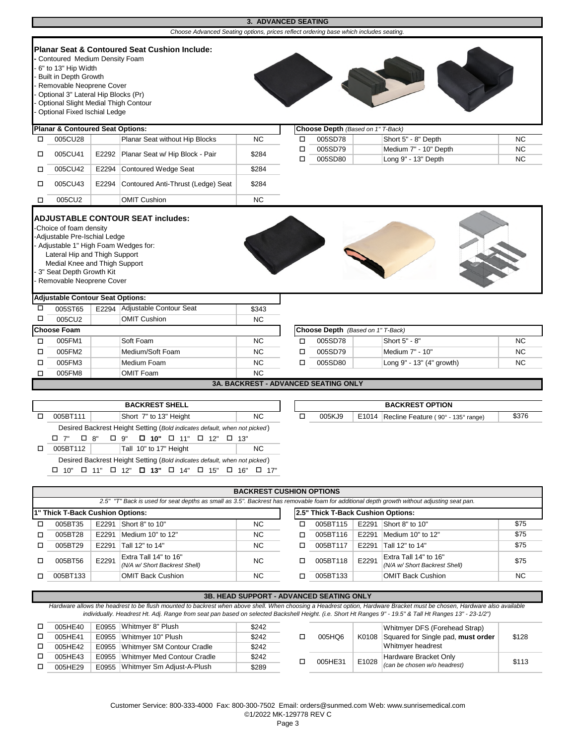|        |                                                                                                                                                                                                                            |       |                                                                                                                                       | 3. ADVANCED SEATING                         |             |                                   |                                              |                        |
|--------|----------------------------------------------------------------------------------------------------------------------------------------------------------------------------------------------------------------------------|-------|---------------------------------------------------------------------------------------------------------------------------------------|---------------------------------------------|-------------|-----------------------------------|----------------------------------------------|------------------------|
|        |                                                                                                                                                                                                                            |       | Choose Advanced Seating options, prices reflect ordering base which includes seating.                                                 |                                             |             |                                   |                                              |                        |
|        | Contoured Medium Density Foam<br>6" to 13" Hip Width<br>Built in Depth Growth<br>- Removable Neoprene Cover<br>Optional 3" Lateral Hip Blocks (Pr)<br>Optional Slight Medial Thigh Contour<br>Optional Fixed Ischial Ledge |       | <b>Planar Seat &amp; Contoured Seat Cushion Include:</b>                                                                              |                                             |             |                                   |                                              |                        |
|        | <b>Planar &amp; Contoured Seat Options:</b>                                                                                                                                                                                |       |                                                                                                                                       | Choose Depth (Based on 1" T-Back)           |             |                                   |                                              |                        |
| □      | 005CU28                                                                                                                                                                                                                    |       | Planar Seat without Hip Blocks                                                                                                        | <b>NC</b>                                   | □           | 005SD78                           | Short 5" - 8" Depth                          | <b>NC</b>              |
| □      | 005CU41                                                                                                                                                                                                                    |       | E2292 Planar Seat w/ Hip Block - Pair                                                                                                 | \$284                                       | □<br>$\Box$ | 005SD79<br>005SD80                | Medium 7" - 10" Depth<br>Long 9" - 13" Depth | <b>NC</b><br><b>NC</b> |
| □      | 005CU42                                                                                                                                                                                                                    |       | E2294 Contoured Wedge Seat                                                                                                            | \$284                                       |             |                                   |                                              |                        |
| □      | 005CU43                                                                                                                                                                                                                    | E2294 | Contoured Anti-Thrust (Ledge) Seat                                                                                                    | \$284                                       |             |                                   |                                              |                        |
| □      | 005CU2                                                                                                                                                                                                                     |       | <b>OMIT Cushion</b>                                                                                                                   | <b>NC</b>                                   |             |                                   |                                              |                        |
|        | Lateral Hip and Thigh Support<br>Medial Knee and Thigh Support<br>- 3" Seat Depth Growth Kit<br>- Removable Neoprene Cover                                                                                                 |       |                                                                                                                                       |                                             |             |                                   |                                              |                        |
|        | <b>Adjustable Contour Seat Options:</b>                                                                                                                                                                                    |       |                                                                                                                                       |                                             |             |                                   |                                              |                        |
| □      | 005ST65                                                                                                                                                                                                                    |       | E2294 Adjustable Contour Seat                                                                                                         | \$343                                       |             |                                   |                                              |                        |
| $\Box$ | 005CU2                                                                                                                                                                                                                     |       | <b>OMIT Cushion</b>                                                                                                                   | <b>NC</b>                                   |             |                                   |                                              |                        |
|        | <b>Choose Foam</b>                                                                                                                                                                                                         |       |                                                                                                                                       |                                             |             | Choose Depth (Based on 1" T-Back) |                                              |                        |
| □      | 005FM1                                                                                                                                                                                                                     |       | Soft Foam                                                                                                                             | <b>NC</b>                                   | □           | 005SD78                           | Short 5" - 8"                                | <b>NC</b>              |
| $\Box$ | 005FM2                                                                                                                                                                                                                     |       | Medium/Soft Foam                                                                                                                      | <b>NC</b>                                   | $\Box$      | 005SD79                           | Medium 7" - 10"                              | <b>NC</b>              |
| $\Box$ | 005FM3                                                                                                                                                                                                                     |       | Medium Foam                                                                                                                           | <b>NC</b>                                   | $\Box$      | 005SD80                           | Long 9" - 13" (4" growth)                    | <b>NC</b>              |
| $\Box$ | 005FM8                                                                                                                                                                                                                     |       | <b>OMIT Foam</b>                                                                                                                      | <b>NC</b>                                   |             |                                   |                                              |                        |
|        |                                                                                                                                                                                                                            |       |                                                                                                                                       | <b>3A. BACKREST - ADVANCED SEATING ONLY</b> |             |                                   |                                              |                        |
|        |                                                                                                                                                                                                                            |       |                                                                                                                                       |                                             |             |                                   |                                              |                        |
|        |                                                                                                                                                                                                                            |       | <b>BACKREST SHELL</b>                                                                                                                 |                                             |             |                                   | <b>BACKREST OPTION</b>                       |                        |
| □      | 005BT111                                                                                                                                                                                                                   |       | Short 7" to 13" Height                                                                                                                | <b>NC</b>                                   | □           | 005KJ9                            | E1014   Recline Feature (90° - 135° range)   | \$376                  |
|        | □ 8"<br>□ 7"                                                                                                                                                                                                               |       | Desired Backrest Height Setting (Bold indicates default, when not picked)<br>$\Box$ 9"<br>$\Box$ 10" $\Box$ 11" $\Box$ 12" $\Box$ 13" |                                             |             |                                   |                                              |                        |
| □      | 005BT112                                                                                                                                                                                                                   |       | Tall 10" to 17" Height                                                                                                                | <b>NC</b>                                   |             |                                   |                                              |                        |
|        |                                                                                                                                                                                                                            |       | Desired Backrest Height Setting (Bold indicates default, when not picked)                                                             |                                             |             |                                   |                                              |                        |

| <b>BACKREST CUSHION OPTIONS</b>                                                                                                             |       |                                                        |     |   |                                    |       |                                                        |      |  |  |
|---------------------------------------------------------------------------------------------------------------------------------------------|-------|--------------------------------------------------------|-----|---|------------------------------------|-------|--------------------------------------------------------|------|--|--|
| 2.5" "T" Back is used for seat depths as small as 3.5". Backrest has removable foam for additional depth growth without adjusting seat pan. |       |                                                        |     |   |                                    |       |                                                        |      |  |  |
| 1" Thick T-Back Cushion Options:                                                                                                            |       |                                                        |     |   | 2.5" Thick T-Back Cushion Options: |       |                                                        |      |  |  |
| 005BT35                                                                                                                                     | E2291 | Short 8" to 10"                                        | NC. | п | 005BT115                           | E2291 | Short 8" to 10"                                        | \$75 |  |  |
| 005BT28                                                                                                                                     | E2291 | Medium 10" to 12"                                      | NC. | п | 005BT116                           | E2291 | Medium 10" to 12"                                      | \$75 |  |  |
| 005BT29                                                                                                                                     | E2291 | Tall 12" to 14"                                        | NC. | п | 005BT117                           | E2291 | Tall 12" to 14"                                        | \$75 |  |  |
| 005BT56                                                                                                                                     | E2291 | Extra Tall 14" to 16"<br>(N/A w/ Short Backrest Shell) | NC. | п | 005BT118                           | E2291 | Extra Tall 14" to 16"<br>(N/A w/ Short Backrest Shell) | \$75 |  |  |
| 005BT133                                                                                                                                    |       | <b>OMIT Back Cushion</b>                               | NC. |   | 005BT133                           |       | <b>OMIT Back Cushion</b>                               | NC.  |  |  |

 $\Box$  10"  $\Box$  11"  $\Box$  12"  $\Box$  13"  $\Box$  14"  $\Box$  15"  $\Box$  16"  $\Box$  17"

005HE29 | E0955 Whitmyer Sm Adjust-A-Plush

 $\Box$ 

### o  $\Box$ o o Hardware allows the headrest to be flush mounted to backrest when above shell. When choosing a Headrest option, Hardware Bracket must be chosen, Hardware also available *individually. Headrest Ht. Adj. Range from seat pan based on selected Backshell Height. (i.e. Short Ht Ranges 9" - 19.5" & Tall Ht Ranges 13" - 23-1/2")* **3B. HEAD SUPPORT - ADVANCED SEATING ONLY** 005HE40 | E0955 | Whitmyer 8" Plush | \$242 o 005HQ6 \$242 005HE41 E0955 Whitmyer 10" Plush 6242 005HE42 E0955 Whitmyer SM Contour Cradle  $\frac{$242}{$289}$   $\Box$ K0108 Whitmyer DFS (Forehead Strap) Squared for Single pad, **must order**  Whitmyer headrest \$128 Hardware Bracket Only *(can be chosen w/o headrest)* \$113 005HE43 E0955 Whitmyer Med Contour Cradle

E1028

005HE31

Page 3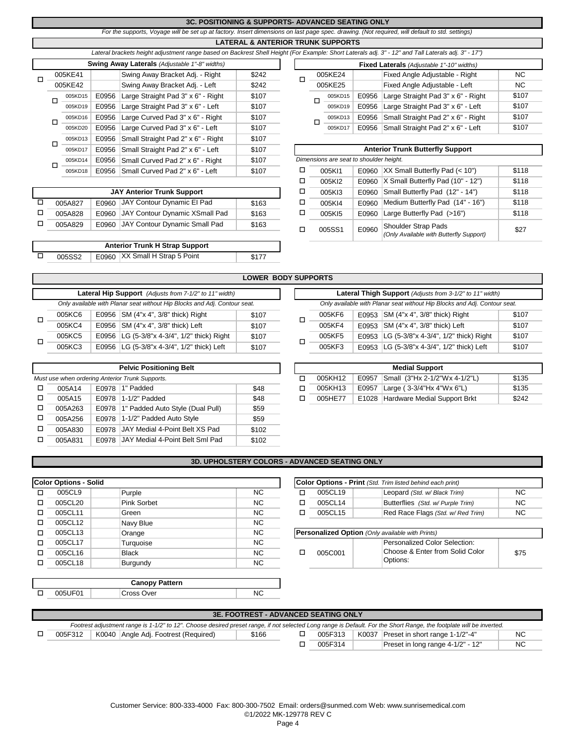### **3C. POSITIONING & SUPPORTS- ADVANCED SEATING ONLY**

*For the supports, Voyage will be set up at factory. Insert dimensions on last page spec. drawing. (Not required, will default to std. settings)*

### **LATERAL & ANTERIOR TRUNK SUPPORTS**

|   |        |         |       | Lateral brackets height adjustment range based on Backrest Shell Height (For Example: Short Laterals adj. 3" - 12" and Tall Laterals adj. 3" - 1 |       |  |                                         |                                         |       |                                           |  |
|---|--------|---------|-------|--------------------------------------------------------------------------------------------------------------------------------------------------|-------|--|-----------------------------------------|-----------------------------------------|-------|-------------------------------------------|--|
|   |        |         |       | <b>Swing Away Laterals</b> (Adjustable 1"-8" widths)                                                                                             |       |  |                                         |                                         |       | Fixed Laterals (Adjustable 1"-10" widths) |  |
| П |        | 005KE41 |       | Swing Away Bracket Adj. - Right                                                                                                                  | \$242 |  |                                         | 005KE24                                 |       | Fixed Angle Adjustable - Right            |  |
|   |        | 005KE42 |       | Swing Away Bracket Adj. - Left                                                                                                                   | \$242 |  |                                         | 005KE25                                 |       | Fixed Angle Adjustable - Left             |  |
|   |        | 005KD15 | E0956 | Large Straight Pad 3" x 6" - Right                                                                                                               | \$107 |  |                                         | 005KD15                                 | E0956 | Large Straight Pad 3" x 6" - Rio          |  |
|   | □      | 005KD19 | E0956 | Large Straight Pad 3" x 6" - Left                                                                                                                | \$107 |  |                                         | 005KD19                                 | E0956 | Large Straight Pad 3" x 6" - Let          |  |
|   |        | 005KD16 | E0956 | Large Curved Pad 3" x 6" - Right                                                                                                                 | \$107 |  |                                         | 005KD13                                 | E0956 | Small Straight Pad 2" x 6" - Rio          |  |
|   | □      | 005KD20 | E0956 | Large Curved Pad 3" x 6" - Left                                                                                                                  | \$107 |  |                                         | 005KD17                                 | E0956 | Small Straight Pad 2" x 6" - Le           |  |
|   |        | 005KD13 | E0956 | Small Straight Pad 2" x 6" - Right                                                                                                               | \$107 |  |                                         |                                         |       |                                           |  |
|   | □<br>Е | 005KD17 | E0956 | Small Straight Pad 2" x 6" - Left                                                                                                                | \$107 |  | <b>Anterior Trunk Butterfly Support</b> |                                         |       |                                           |  |
|   |        | 005KD14 | E0956 | Small Curved Pad 2" x 6" - Right                                                                                                                 | \$107 |  |                                         | Dimensions are seat to shoulder height. |       |                                           |  |
|   |        | 005KD18 | E0956 | Small Curved Pad 2" x 6" - Left                                                                                                                  | \$107 |  |                                         | 005K11                                  | E0960 | XX Small Butterfly Pad (< 10")            |  |

| <b>JAY Anterior Trunk Support</b> |  |  |                                                                                                                 |  |  |  |  |  |  |  |
|-----------------------------------|--|--|-----------------------------------------------------------------------------------------------------------------|--|--|--|--|--|--|--|
| 005A827                           |  |  | \$163                                                                                                           |  |  |  |  |  |  |  |
| 005A828                           |  |  | \$163                                                                                                           |  |  |  |  |  |  |  |
| 005A829                           |  |  | \$163                                                                                                           |  |  |  |  |  |  |  |
|                                   |  |  | E0960 JAY Contour Dynamic El Pad<br>E0960 JAY Contour Dynamic XSmall Pad<br>E0960 JAY Contour Dynamic Small Pad |  |  |  |  |  |  |  |

|        | <b>Anterior Trunk H Strap Support</b> |       |
|--------|---------------------------------------|-------|
| 005SS2 | E0960 XX Small H Strap 5 Point        | \$177 |

| Lateral brackets height adjustment range based on Backrest Shell Height (For Example: Short Laterals adj. 3" - 12" and Tall Laterals adj. 3" - 17") |       |                                                          |       |         |  |         |       |                                                  |       |
|-----------------------------------------------------------------------------------------------------------------------------------------------------|-------|----------------------------------------------------------|-------|---------|--|---------|-------|--------------------------------------------------|-------|
| <b>Swing Away Laterals</b> (Adjustable 1"-8" widths)                                                                                                |       |                                                          |       |         |  |         |       | <b>Fixed Laterals</b> (Adjustable 1"-10" widths) |       |
| 005KE41                                                                                                                                             |       | Swing Away Bracket Adj. - Right                          | \$242 |         |  | 005KE24 |       | Fixed Angle Adjustable - Right                   | NC.   |
| 005KE42                                                                                                                                             |       | Swing Away Bracket Adj. - Left                           | \$242 | 005KE25 |  |         |       | Fixed Angle Adjustable - Left                    | NC.   |
| 005KD15                                                                                                                                             | E0956 | Large Straight Pad 3" x 6" - Right                       | \$107 |         |  | 005KD15 | E0956 | Large Straight Pad 3" x 6" - Right               | \$107 |
| 005KD19                                                                                                                                             | E0956 | Large Straight Pad 3" x 6" - Left                        | \$107 |         |  | 005KD19 | E0956 | Large Straight Pad 3" x 6" - Left                | \$107 |
| 005KD16                                                                                                                                             | E0956 | Large Curved Pad 3" x 6" - Right                         | \$107 |         |  | 005KD13 | E0956 | Small Straight Pad 2" x 6" - Right               | \$107 |
| 005KD20                                                                                                                                             | E0956 | Large Curved Pad 3" x 6" - Left                          | \$107 |         |  | 005KD17 | E0956 | Small Straight Pad 2" x 6" - Left                | \$107 |
|                                                                                                                                                     |       | $0.05$ KD13   E0956   Small Straight Pad 2" x 6" - Right | \$107 |         |  |         |       |                                                  |       |

|                                   | 005KD17 |       | E0956 Small Straight Pad 2" x 6" - Left | \$107 |   | <b>Anterior Trunk Butterfly Support</b> |       |                                           |       |  |  |
|-----------------------------------|---------|-------|-----------------------------------------|-------|---|-----------------------------------------|-------|-------------------------------------------|-------|--|--|
|                                   | 005KD14 | E0956 | Small Curved Pad 2" x 6" - Right        | \$107 |   | Dimensions are seat to shoulder height. |       |                                           |       |  |  |
|                                   | 005KD18 | E0956 | Small Curved Pad 2" x 6" - Left         | \$107 |   | 005K11                                  | E0960 | $ XX \text{ Small Butterfly}$ Pad (< 10") | \$118 |  |  |
|                                   |         |       |                                         |       | □ | 005KI2                                  | E0960 | X Small Butterfly Pad (10" - 12")         | \$118 |  |  |
| <b>JAY Anterior Trunk Support</b> |         |       |                                         |       | □ | 005KI3                                  | E0960 | Small Butterfly Pad (12" - 14")           | \$118 |  |  |
|                                   | 005A827 | E0960 | JAY Contour Dynamic El Pad              | \$163 | □ | 005KI4                                  | E0960 | Medium Butterfly Pad (14" - 16")          | \$118 |  |  |
|                                   | 005A828 | E0960 | JAY Contour Dynamic XSmall Pad          | \$163 | □ | 005KI5                                  | E0960 | Large Butterfly Pad (>16")                | \$118 |  |  |
|                                   | 005A829 | E0960 | JAY Contour Dynamic Small Pad           | \$163 | ◻ |                                         | E0960 | Shoulder Strap Pads                       |       |  |  |
|                                   |         |       |                                         |       |   | 005SS1                                  |       | (Only Available with Butterfly Support)   | \$27  |  |  |
|                                   |         |       |                                         |       |   |                                         |       |                                           |       |  |  |

|   |        |                                                                           | <b>LOWER BODY SUPPORTS</b> |        |                                                                           |   |
|---|--------|---------------------------------------------------------------------------|----------------------------|--------|---------------------------------------------------------------------------|---|
|   |        | Lateral Hip Support (Adjusts from 7-1/2" to 11" width)                    |                            |        | Lateral Thigh Support (Adjusts from 3-1/2" to 11" width)                  |   |
|   |        | Only available with Planar seat without Hip Blocks and Adj. Contour seat. |                            |        | Only available with Planar seat without Hip Blocks and Adj. Contour seat. |   |
|   | 005KC6 | E0956 $\,$ SM (4"x 4", 3/8" thick) Right                                  | \$107                      | 005KF6 | E0953 SM (4"x 4", 3/8" thick) Right                                       |   |
|   | 005KC4 | E0956   SM (4"x 4", 3/8" thick) Left                                      | \$107                      | 005KF4 | E0953 SM $(4" \times 4"$ , 3/8" thick) Left                               |   |
|   | 005KC5 | E0956   LG (5-3/8"x 4-3/4", 1/2" thick) Right                             | \$107                      | 005KF5 | E0953 LG (5-3/8"x 4-3/4", 1/2" thick) Right                               | £ |
| □ | 005KC3 | E0956   LG (5-3/8"x 4-3/4", 1/2" thick) Left                              | \$107                      | 005KF3 | E0953 LG (5-3/8"x 4-3/4", 1/2" thick) Left                                |   |

|                                                 |       | <b>Pelvic Positioning Belt</b>         |       | <b>Medial Support</b> |         |       |                                    |       |  |
|-------------------------------------------------|-------|----------------------------------------|-------|-----------------------|---------|-------|------------------------------------|-------|--|
| Must use when ordering Anterior Trunk Supports. |       |                                        |       |                       | 005KH12 | E0957 | Small (3"Hx 2-1/2"Wx 4-1/2"L)      | \$135 |  |
| 005A14                                          |       | E0978 1" Padded                        | \$48  |                       | 005KH13 | E0957 | Large (3-3/4"Hx 4"Wx 6"L)          | \$135 |  |
| 005A15                                          | E0978 | $1-1/2$ " Padded                       | \$48  |                       | 005HE77 |       | E1028 Hardware Medial Support Brkt | \$242 |  |
| 005A263                                         |       | E0978 1" Padded Auto Style (Dual Pull) | \$59  |                       |         |       |                                    |       |  |
| 005A256                                         |       | E0978 1-1/2" Padded Auto Style         | \$59  |                       |         |       |                                    |       |  |
| 005A830                                         |       | E0978 JAY Medial 4-Point Belt XS Pad   | \$102 |                       |         |       |                                    |       |  |
| 005A831                                         |       | E0978 JAY Medial 4-Point Belt Sml Pad  | \$102 |                       |         |       |                                    |       |  |

|        | <b>LOWER BODY SUPPORTS</b>                            |                                                                           |                                                          |    |        |  |                                                                           |       |  |  |  |  |  |
|--------|-------------------------------------------------------|---------------------------------------------------------------------------|----------------------------------------------------------|----|--------|--|---------------------------------------------------------------------------|-------|--|--|--|--|--|
|        |                                                       | Lateral Hip Support (Adjusts from 7-1/2" to 11" width)                    | Lateral Thigh Support (Adjusts from 3-1/2" to 11" width) |    |        |  |                                                                           |       |  |  |  |  |  |
|        |                                                       | Only available with Planar seat without Hip Blocks and Adj. Contour seat. |                                                          |    |        |  | Only available with Planar seat without Hip Blocks and Adj. Contour seat. |       |  |  |  |  |  |
| 005KC6 |                                                       | E0956 $SM$ (4"x 4", 3/8" thick) Right                                     | \$107                                                    | п. | 005KF6 |  | E0953 SM (4"x 4", 3/8" thick) Right                                       | \$107 |  |  |  |  |  |
| 005KC4 |                                                       | E0956   SM (4"x 4", 3/8" thick) Left                                      | \$107                                                    |    | 005KF4 |  | E0953 $SM$ (4"x 4", 3/8" thick) Left                                      | \$107 |  |  |  |  |  |
| 005KC5 |                                                       | E0956   LG (5-3/8"x 4-3/4", 1/2" thick) Right                             | \$107                                                    |    | 005KF5 |  | E0953 LG (5-3/8"x 4-3/4", 1/2" thick) Right                               | \$107 |  |  |  |  |  |
| 005KC3 | E0956   LG (5-3/8"x 4-3/4", 1/2" thick) Left<br>\$107 |                                                                           |                                                          |    | 005KF3 |  | E0953 LG (5-3/8"x 4-3/4", 1/2" thick) Left                                | \$107 |  |  |  |  |  |

| <b>Pelvic Positioning Belt</b> |  |                                        |      |  | <b>Medial Support</b> |         |       |                                    |       |  |  |
|--------------------------------|--|----------------------------------------|------|--|-----------------------|---------|-------|------------------------------------|-------|--|--|
|                                |  | when ordering Anterior Trunk Supports. |      |  |                       | 005KH12 | E0957 | Small (3"Hx 2-1/2"Wx 4-1/2"L)      | \$135 |  |  |
| 005A14                         |  | E0978 1" Padded                        | \$48 |  |                       | 005KH13 | E0957 | '   Large ( 3-3/4"Hx 4"Wx 6"L)     | \$135 |  |  |
| 005A15                         |  | E0978 1-1/2" Padded                    | \$48 |  |                       | 005HE77 |       | E1028 Hardware Medial Support Brkt | \$242 |  |  |

## **3D. UPHOLSTERY COLORS - ADVANCED SEATING ONLY**

|   | <b>Color Options - Solid</b> |              |     |         | Color Options - Print (Std. Trim listed behind each print) |
|---|------------------------------|--------------|-----|---------|------------------------------------------------------------|
| □ | 005CL9                       | Purple       | NC. | 005CL19 | Leopard (Std. w/ Black Trir                                |
| □ | 005CL20                      | Pink Sorbet  | NC. | 005CL14 | Butterflies (Std. w/ Purple                                |
| п | 005CL11                      | Green        | NC. | 005CL15 | Red Race Flags (Std. w/I                                   |
| п | 005CL12                      | Navy Blue    | NC. |         |                                                            |
| п | 005CL13                      | Orange       | NC. |         | <b>Personalized Option</b> (Only available with Prints)    |
| п | 005CL17                      | Turquoise    | NC. |         | Personalized Color Sele                                    |
| □ | 005CL16                      | <b>Black</b> | NC. | 005C001 | Choose & Enter from So                                     |
| п | 005CL18                      | Burgundy     | NC. |         | Options:                                                   |

|         | Options - Solid |             |    |  |  | <b>ICOIOr Options - Print</b> (Std. Trim listed behind each print) |                                   |           |
|---------|-----------------|-------------|----|--|--|--------------------------------------------------------------------|-----------------------------------|-----------|
| 005CL9  |                 | Purple      | NC |  |  | 005CL19                                                            | Leopard (Std. w/ Black Trim)      | <b>NC</b> |
| 005CL20 |                 | Pink Sorbet | ΝC |  |  | 005CL14                                                            | Butterflies (Std. w/ Purple Trim) | <b>NC</b> |
| 005CL11 |                 | Green       | ΝC |  |  | 005CL15                                                            | Red Race Flags (Std. w/Red Trim)  | <b>NC</b> |
| 005CL12 |                 | Navy Blue   | ΝC |  |  |                                                                    |                                   |           |

| 005CL13 | Orange          | NC        | <b>IPersonalized Option</b> (Only available with Prints) |         |  |                                 |      |  |
|---------|-----------------|-----------|----------------------------------------------------------|---------|--|---------------------------------|------|--|
| 005CL17 | Turguoise       | <b>NC</b> |                                                          | 005C001 |  | Personalized Color Selection:   |      |  |
| 005CL16 | <b>Black</b>    | <b>NC</b> |                                                          |         |  | Choose & Enter from Solid Color | \$75 |  |
| 005CL18 | <b>Buraundv</b> | <b>NC</b> |                                                          |         |  | Options:                        |      |  |
|         |                 |           |                                                          |         |  |                                 |      |  |

| <b>Canopy Pattern</b> |         |            |  |  |  |  |
|-----------------------|---------|------------|--|--|--|--|
|                       | 005UF01 | Cross Over |  |  |  |  |
|                       |         |            |  |  |  |  |

| <b>3E. FOOTREST - ADVANCED SEATING ONLY</b>                                                                                                                          |                                                 |       |  |         |  |                                       |           |  |
|----------------------------------------------------------------------------------------------------------------------------------------------------------------------|-------------------------------------------------|-------|--|---------|--|---------------------------------------|-----------|--|
| Footrest adjustment range is 1-1/2" to 12". Choose desired preset range, if not selected Long range is Default. For the Short Range, the footplate will be inverted. |                                                 |       |  |         |  |                                       |           |  |
|                                                                                                                                                                      | 005F312<br>K0040 Angle Adj. Footrest (Required) | \$166 |  | 005F313 |  | K0037 Preset in short range 1-1/2"-4" | NC.       |  |
|                                                                                                                                                                      |                                                 |       |  | 005F314 |  | Preset in long range 4-1/2" - 12"     | <b>NC</b> |  |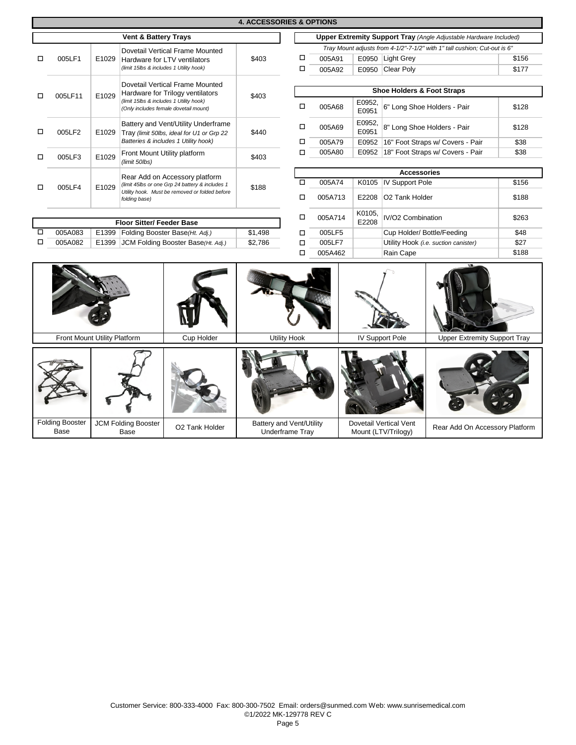|                                            | <b>4. ACCESSORIES &amp; OPTIONS</b>                    |       |                                         |                                                                                  |                                                                           |                                                    |                                                                          |                                               |                            |                                     |       |  |  |
|--------------------------------------------|--------------------------------------------------------|-------|-----------------------------------------|----------------------------------------------------------------------------------|---------------------------------------------------------------------------|----------------------------------------------------|--------------------------------------------------------------------------|-----------------------------------------------|----------------------------|-------------------------------------|-------|--|--|
|                                            |                                                        |       | <b>Vent &amp; Battery Trays</b>         |                                                                                  |                                                                           |                                                    | <b>Upper Extremity Support Tray (Angle Adjustable Hardware Included)</b> |                                               |                            |                                     |       |  |  |
|                                            | Dovetail Vertical Frame Mounted                        |       |                                         |                                                                                  | Tray Mount adjusts from 4-1/2"-7-1/2" with 1" tall cushion; Cut-out is 6" |                                                    |                                                                          |                                               |                            |                                     |       |  |  |
| □                                          | 005LF1                                                 | E1029 |                                         | Hardware for LTV ventilators                                                     | \$403                                                                     | □                                                  | 005A91                                                                   |                                               | E0950 Light Grey           |                                     | \$156 |  |  |
|                                            |                                                        |       | (limit 15lbs & includes 1 Utility hook) |                                                                                  |                                                                           | □                                                  | 005A92                                                                   |                                               | E0950 Clear Poly           |                                     | \$177 |  |  |
|                                            |                                                        |       |                                         |                                                                                  |                                                                           |                                                    |                                                                          |                                               |                            |                                     |       |  |  |
| □                                          |                                                        |       |                                         | Dovetail Vertical Frame Mounted<br>Hardware for Trilogy ventilators              | \$403                                                                     |                                                    | <b>Shoe Holders &amp; Foot Straps</b>                                    |                                               |                            |                                     |       |  |  |
|                                            | 005LF11                                                | E1029 |                                         | (limit 15lbs & includes 1 Utility hook)<br>(Only includes female dovetail mount) |                                                                           | $\Box$                                             | 005A68                                                                   | E0952,<br>E0951                               |                            | 6" Long Shoe Holders - Pair         | \$128 |  |  |
| □                                          | 005LF2                                                 | E1029 |                                         | Battery and Vent/Utility Underframe<br>Tray (limit 50lbs, ideal for U1 or Grp 22 | \$440                                                                     | □                                                  | 005A69                                                                   | E0952,<br>E0951                               |                            | 8" Long Shoe Holders - Pair         | \$128 |  |  |
|                                            |                                                        |       |                                         | Batteries & includes 1 Utility hook)                                             |                                                                           | □                                                  | 005A79                                                                   | E0952                                         |                            | 16" Foot Straps w/ Covers - Pair    | \$38  |  |  |
| □                                          | 005LF3                                                 | E1029 |                                         | Front Mount Utility platform                                                     | \$403                                                                     | □                                                  | 005A80                                                                   | E0952                                         |                            | 18" Foot Straps w/ Covers - Pair    | \$38  |  |  |
|                                            |                                                        |       | (limit 50lbs)                           |                                                                                  |                                                                           |                                                    |                                                                          |                                               |                            |                                     |       |  |  |
|                                            |                                                        |       |                                         | Rear Add on Accessory platform                                                   | \$188                                                                     |                                                    |                                                                          |                                               | <b>Accessories</b>         |                                     |       |  |  |
| □                                          | 005LF4                                                 | E1029 |                                         | (limit 45lbs or one Grp 24 battery & includes 1                                  |                                                                           | □                                                  | 005A74                                                                   |                                               | K0105 IV Support Pole      |                                     | \$156 |  |  |
|                                            |                                                        |       | folding base)                           | Utility hook. Must be removed or folded before                                   |                                                                           | $\Box$                                             | 005A713                                                                  | E2208                                         | O <sub>2</sub> Tank Holder |                                     | \$188 |  |  |
| <b>Floor Sitter/ Feeder Base</b>           |                                                        |       |                                         |                                                                                  | □                                                                         | 005A714                                            | K0105,<br>E2208                                                          | IV/O2 Combination                             |                            | \$263                               |       |  |  |
| □                                          | 005A083                                                |       |                                         | E1399 Folding Booster Base(Ht. Adj.)                                             | \$1,498                                                                   | □                                                  | 005LF5                                                                   |                                               |                            | Cup Holder/ Bottle/Feeding          | \$48  |  |  |
| □                                          | 005A082<br>JCM Folding Booster Base(Ht. Adj.)<br>E1399 |       | \$2,786                                 | $\Box$                                                                           | 005LF7                                                                    |                                                    |                                                                          | Utility Hook (i.e. suction canister)          |                            |                                     |       |  |  |
|                                            |                                                        |       |                                         |                                                                                  |                                                                           | □                                                  | 005A462                                                                  |                                               | Rain Cape                  |                                     | \$188 |  |  |
| Front Mount Utility Platform<br>Cup Holder |                                                        |       |                                         |                                                                                  |                                                                           | <b>Utility Hook</b>                                |                                                                          |                                               | <b>IV Support Pole</b>     | <b>Upper Extremity Support Tray</b> |       |  |  |
|                                            |                                                        |       |                                         |                                                                                  |                                                                           |                                                    |                                                                          |                                               |                            |                                     |       |  |  |
|                                            |                                                        |       |                                         |                                                                                  |                                                                           |                                                    |                                                                          |                                               |                            |                                     |       |  |  |
|                                            | <b>Folding Booster</b><br><b>Base</b>                  |       | <b>JCM Folding Booster</b><br>Base      | O2 Tank Holder                                                                   |                                                                           | Battery and Vent/Utility<br><b>Underframe Tray</b> |                                                                          | Dovetail Vertical Vent<br>Mount (LTV/Trilogy) |                            | Rear Add On Accessory Platform      |       |  |  |